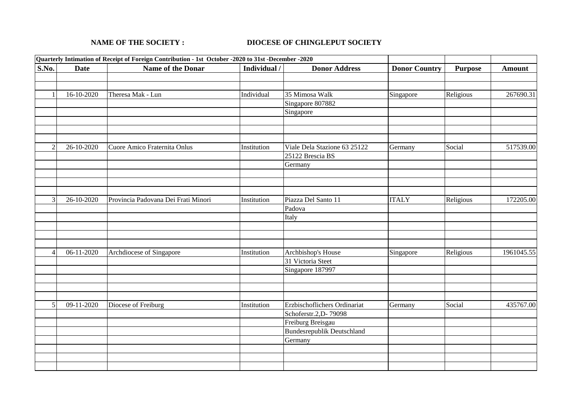## **NAME OF THE SOCIETY : DIOCESE OF CHINGLEPUT SOCIETY**

| Quarterly Intimation of Receipt of Foreign Contribution - 1st October -2020 to 31st -December -2020 |             |                                     |              |                                   |                      |                |               |
|-----------------------------------------------------------------------------------------------------|-------------|-------------------------------------|--------------|-----------------------------------|----------------------|----------------|---------------|
| <b>S.No.</b>                                                                                        | <b>Date</b> | Name of the Donar                   | Individual / | <b>Donor Address</b>              | <b>Donor Country</b> | <b>Purpose</b> | <b>Amount</b> |
|                                                                                                     |             |                                     |              |                                   |                      |                |               |
|                                                                                                     |             |                                     |              |                                   |                      |                |               |
|                                                                                                     | 16-10-2020  | Theresa Mak - Lun                   | Individual   | 35 Mimosa Walk                    | Singapore            | Religious      | 267690.31     |
|                                                                                                     |             |                                     |              | Singapore 807882                  |                      |                |               |
|                                                                                                     |             |                                     |              | Singapore                         |                      |                |               |
|                                                                                                     |             |                                     |              |                                   |                      |                |               |
|                                                                                                     |             |                                     |              |                                   |                      |                |               |
|                                                                                                     |             |                                     |              |                                   |                      |                |               |
|                                                                                                     | 26-10-2020  | Cuore Amico Fraternita Onlus        | Institution  | Viale Dela Stazione 63 25122      | Germany              | Social         | 517539.00     |
|                                                                                                     |             |                                     |              | 25122 Brescia BS                  |                      |                |               |
|                                                                                                     |             |                                     |              | Germany                           |                      |                |               |
|                                                                                                     |             |                                     |              |                                   |                      |                |               |
|                                                                                                     |             |                                     |              |                                   |                      |                |               |
|                                                                                                     |             |                                     |              |                                   |                      |                |               |
| 3                                                                                                   | 26-10-2020  | Provincia Padovana Dei Frati Minori | Institution  | Piazza Del Santo 11               | <b>ITALY</b>         | Religious      | 172205.00     |
|                                                                                                     |             |                                     |              | Padova                            |                      |                |               |
|                                                                                                     |             |                                     |              | Italy                             |                      |                |               |
|                                                                                                     |             |                                     |              |                                   |                      |                |               |
|                                                                                                     |             |                                     |              |                                   |                      |                |               |
|                                                                                                     |             |                                     |              |                                   |                      |                |               |
|                                                                                                     | 06-11-2020  | Archdiocese of Singapore            | Institution  | Archbishop's House                | Singapore            | Religious      | 1961045.55    |
|                                                                                                     |             |                                     |              | 31 Victoria Steet                 |                      |                |               |
|                                                                                                     |             |                                     |              | Singapore 187997                  |                      |                |               |
|                                                                                                     |             |                                     |              |                                   |                      |                |               |
|                                                                                                     |             |                                     |              |                                   |                      |                |               |
|                                                                                                     |             |                                     |              |                                   |                      |                |               |
| 5                                                                                                   | 09-11-2020  | Diocese of Freiburg                 | Institution  | Erzbischoflichers Ordinariat      | Germany              | Social         | 435767.00     |
|                                                                                                     |             |                                     |              | Schoferstr.2, D-79098             |                      |                |               |
|                                                                                                     |             |                                     |              | Freiburg Breisgau                 |                      |                |               |
|                                                                                                     |             |                                     |              | <b>Bundesrepublik Deutschland</b> |                      |                |               |
|                                                                                                     |             |                                     |              | Germany                           |                      |                |               |
|                                                                                                     |             |                                     |              |                                   |                      |                |               |
|                                                                                                     |             |                                     |              |                                   |                      |                |               |
|                                                                                                     |             |                                     |              |                                   |                      |                |               |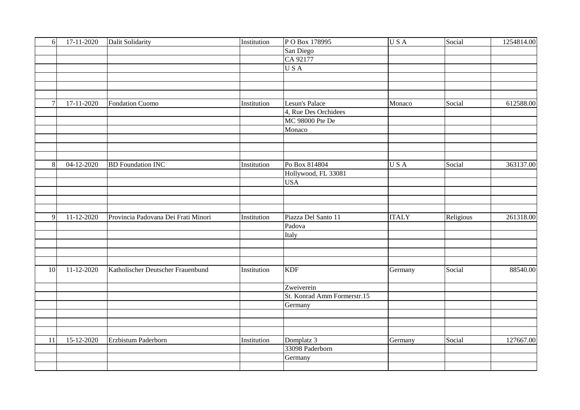| 6              | $17 - 11 - 2020$        | <b>Dalit Solidarity</b>             | Institution | PO Box 178995               | USA          | Social    | 1254814.00 |
|----------------|-------------------------|-------------------------------------|-------------|-----------------------------|--------------|-----------|------------|
|                |                         |                                     |             | San Diego                   |              |           |            |
|                |                         |                                     |             | CA 92177                    |              |           |            |
|                |                         |                                     |             | <b>USA</b>                  |              |           |            |
|                |                         |                                     |             |                             |              |           |            |
|                |                         |                                     |             |                             |              |           |            |
|                |                         |                                     |             |                             |              |           |            |
| $\overline{7}$ | 17-11-2020              | <b>Fondation Cuomo</b>              | Institution | Lesun's Palace              | Monaco       | Social    | 612588.00  |
|                |                         |                                     |             | 4, Rue Des Orchidees        |              |           |            |
|                |                         |                                     |             | MC 98000 Pte De             |              |           |            |
|                |                         |                                     |             | Monaco                      |              |           |            |
|                |                         |                                     |             |                             |              |           |            |
|                |                         |                                     |             |                             |              |           |            |
|                |                         |                                     |             |                             |              |           |            |
| 8              | $\overline{04-12-20}20$ | <b>BD</b> Foundation INC            | Institution | Po Box 814804               | USA          | Social    | 363137.00  |
|                |                         |                                     |             | Hollywood, FL 33081         |              |           |            |
|                |                         |                                     |             | <b>USA</b>                  |              |           |            |
|                |                         |                                     |             |                             |              |           |            |
|                |                         |                                     |             |                             |              |           |            |
|                |                         |                                     |             |                             |              |           |            |
| $\mathbf{Q}$   | 11-12-2020              | Provincia Padovana Dei Frati Minori | Institution | Piazza Del Santo 11         | <b>ITALY</b> | Religious | 261318.00  |
|                |                         |                                     |             | Padova                      |              |           |            |
|                |                         |                                     |             | Italy                       |              |           |            |
|                |                         |                                     |             |                             |              |           |            |
|                |                         |                                     |             |                             |              |           |            |
|                |                         |                                     |             |                             |              |           |            |
| 10             | 11-12-2020              | Katholischer Deutscher Frauenbund   | Institution | <b>KDF</b>                  | Germany      | Social    | 88540.00   |
|                |                         |                                     |             |                             |              |           |            |
|                |                         |                                     |             | Zweiverein                  |              |           |            |
|                |                         |                                     |             | St. Konrad Amm Formerstr.15 |              |           |            |
|                |                         |                                     |             | Germany                     |              |           |            |
|                |                         |                                     |             |                             |              |           |            |
|                |                         |                                     |             |                             |              |           |            |
|                |                         |                                     |             |                             |              |           |            |
| 11             | $15 - 12 - 2020$        | Erzbistum Paderborn                 | Institution | Domplatz 3                  | Germany      | Social    | 127667.00  |
|                |                         |                                     |             | 33098 Paderborn             |              |           |            |
|                |                         |                                     |             | Germany                     |              |           |            |
|                |                         |                                     |             |                             |              |           |            |
|                |                         |                                     |             |                             |              |           |            |